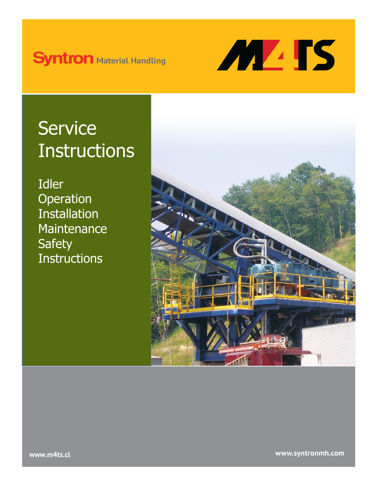# **Syntron Material Handling**



# **Service Instructions**

Idler **Operation** Installation **Maintenance Safety Instructions** 



www.syntronmh.com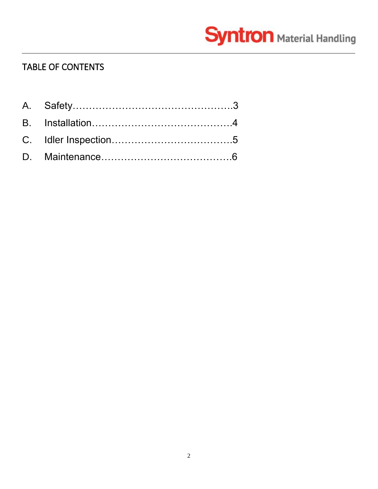# **Syntron** Material Handling

# TABLE OF CONTENTS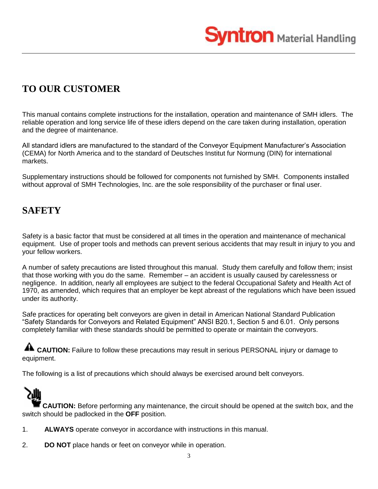

# **TO OUR CUSTOMER**

This manual contains complete instructions for the installation, operation and maintenance of SMH idlers. The reliable operation and long service life of these idlers depend on the care taken during installation, operation and the degree of maintenance.

All standard idlers are manufactured to the standard of the Conveyor Equipment Manufacturer's Association (CEMA) for North America and to the standard of Deutsches Institut fur Normung (DIN) for international markets.

Supplementary instructions should be followed for components not furnished by SMH. Components installed without approval of SMH Technologies, Inc. are the sole responsibility of the purchaser or final user.

## **SAFETY**

Safety is a basic factor that must be considered at all times in the operation and maintenance of mechanical equipment. Use of proper tools and methods can prevent serious accidents that may result in injury to you and your fellow workers.

A number of safety precautions are listed throughout this manual. Study them carefully and follow them; insist that those working with you do the same. Remember – an accident is usually caused by carelessness or negligence. In addition, nearly all employees are subject to the federal Occupational Safety and Health Act of 1970, as amended, which requires that an employer be kept abreast of the regulations which have been issued under its authority.

Safe practices for operating belt conveyors are given in detail in American National Standard Publication "Safety Standards for Conveyors and Related Equipment" ANSI B20.1, Section 5 and 6.01. Only persons completely familiar with these standards should be permitted to operate or maintain the conveyors.

**CAUTION:** Failure to follow these precautions may result in serious PERSONAL injury or damage to equipment.

The following is a list of precautions which should always be exercised around belt conveyors.



- 1. **ALWAYS** operate conveyor in accordance with instructions in this manual.
- 2. **DO NOT** place hands or feet on conveyor while in operation.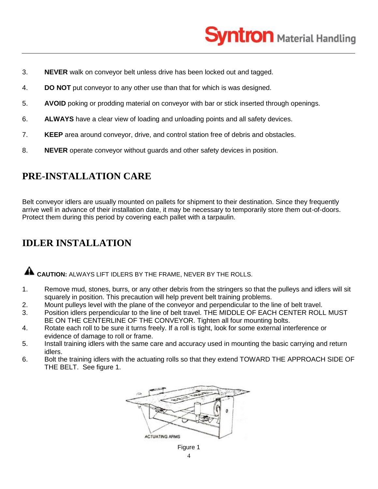

- 3. **NEVER** walk on conveyor belt unless drive has been locked out and tagged.
- 4. **DO NOT** put conveyor to any other use than that for which is was designed.
- 5. **AVOID** poking or prodding material on conveyor with bar or stick inserted through openings.
- 6. **ALWAYS** have a clear view of loading and unloading points and all safety devices.
- 7. **KEEP** area around conveyor, drive, and control station free of debris and obstacles.
- 8. **NEVER** operate conveyor without guards and other safety devices in position.

## **PRE-INSTALLATION CARE**

Belt conveyor idlers are usually mounted on pallets for shipment to their destination. Since they frequently arrive well in advance of their installation date, it may be necessary to temporarily store them out-of-doors. Protect them during this period by covering each pallet with a tarpaulin.

## **IDLER INSTALLATION**

**CAUTION:** ALWAYS LIFT IDLERS BY THE FRAME, NEVER BY THE ROLLS.

- 1. Remove mud, stones, burrs, or any other debris from the stringers so that the pulleys and idlers will sit squarely in position. This precaution will help prevent belt training problems.
- 2. Mount pulleys level with the plane of the conveyor and perpendicular to the line of belt travel.
- 3. Position idlers perpendicular to the line of belt travel. THE MIDDLE OF EACH CENTER ROLL MUST BE ON THE CENTERLINE OF THE CONVEYOR. Tighten all four mounting bolts.
- 4. Rotate each roll to be sure it turns freely. If a roll is tight, look for some external interference or evidence of damage to roll or frame.
- 5. Install training idlers with the same care and accuracy used in mounting the basic carrying and return idlers.
- 6. Bolt the training idlers with the actuating rolls so that they extend TOWARD THE APPROACH SIDE OF THE BELT. See figure 1.

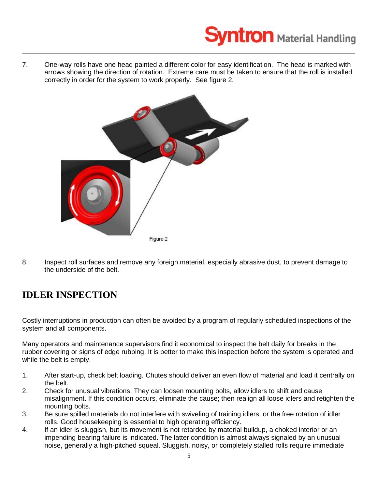

7. One-way rolls have one head painted a different color for easy identification. The head is marked with arrows showing the direction of rotation. Extreme care must be taken to ensure that the roll is installed correctly in order for the system to work properly. See figure 2.



8. Inspect roll surfaces and remove any foreign material, especially abrasive dust, to prevent damage to the underside of the belt.

# **IDLER INSPECTION**

Costly interruptions in production can often be avoided by a program of regularly scheduled inspections of the system and all components.

Many operators and maintenance supervisors find it economical to inspect the belt daily for breaks in the rubber covering or signs of edge rubbing. It is better to make this inspection before the system is operated and while the belt is empty.

- 1. After start-up, check belt loading. Chutes should deliver an even flow of material and load it centrally on the belt.
- 2. Check for unusual vibrations. They can loosen mounting bolts, allow idlers to shift and cause misalignment. If this condition occurs, eliminate the cause; then realign all loose idlers and retighten the mounting bolts.
- 3. Be sure spilled materials do not interfere with swiveling of training idlers, or the free rotation of idler rolls. Good housekeeping is essential to high operating efficiency.
- 4. If an idler is sluggish, but its movement is not retarded by material buildup, a choked interior or an impending bearing failure is indicated. The latter condition is almost always signaled by an unusual noise, generally a high-pitched squeal. Sluggish, noisy, or completely stalled rolls require immediate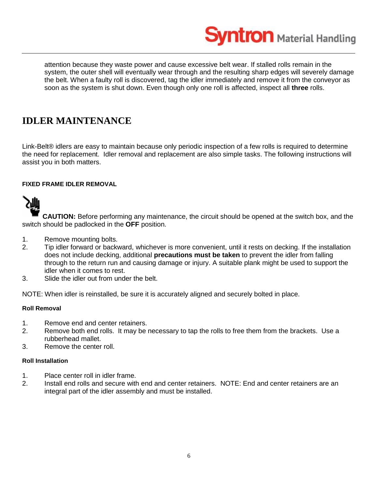**yntron** Material Handling

attention because they waste power and cause excessive belt wear. If stalled rolls remain in the system, the outer shell will eventually wear through and the resulting sharp edges will severely damage the belt. When a faulty roll is discovered, tag the idler immediately and remove it from the conveyor as soon as the system is shut down. Even though only one roll is affected, inspect all **three** rolls.

## **IDLER MAINTENANCE**

Link-Belt® idlers are easy to maintain because only periodic inspection of a few rolls is required to determine the need for replacement. Idler removal and replacement are also simple tasks. The following instructions will assist you in both matters.

#### **FIXED FRAME IDLER REMOVAL**



**CAUTION:** Before performing any maintenance, the circuit should be opened at the switch box, and the switch should be padlocked in the **OFF** position.

- 1. Remove mounting bolts.
- 2. Tip idler forward or backward, whichever is more convenient, until it rests on decking. If the installation does not include decking, additional **precautions must be taken** to prevent the idler from falling through to the return run and causing damage or injury. A suitable plank might be used to support the idler when it comes to rest.
- 3. Slide the idler out from under the belt.

NOTE: When idler is reinstalled, be sure it is accurately aligned and securely bolted in place.

#### **Roll Removal**

- 1. Remove end and center retainers.
- 2. Remove both end rolls. It may be necessary to tap the rolls to free them from the brackets. Use a rubberhead mallet.
- 3. Remove the center roll.

#### **Roll Installation**

- 1. Place center roll in idler frame.
- 2. Install end rolls and secure with end and center retainers. NOTE: End and center retainers are an integral part of the idler assembly and must be installed.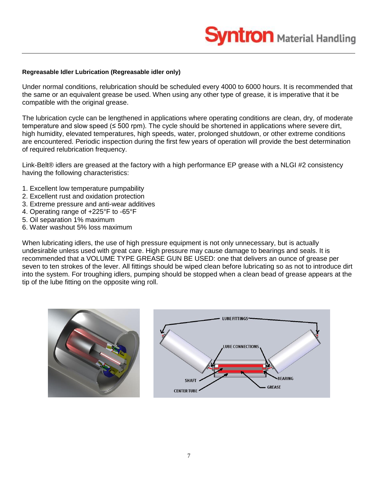#### **Regreasable Idler Lubrication (Regreasable idler only)**

Under normal conditions, relubrication should be scheduled every 4000 to 6000 hours. It is recommended that the same or an equivalent grease be used. When using any other type of grease, it is imperative that it be compatible with the original grease.

The lubrication cycle can be lengthened in applications where operating conditions are clean, dry, of moderate temperature and slow speed (≤ 500 rpm). The cycle should be shortened in applications where severe dirt, high humidity, elevated temperatures, high speeds, water, prolonged shutdown, or other extreme conditions are encountered. Periodic inspection during the first few years of operation will provide the best determination of required relubrication frequency.

Link-Belt® idlers are greased at the factory with a high performance EP grease with a NLGI #2 consistency having the following characteristics:

- 1. Excellent low temperature pumpability
- 2. Excellent rust and oxidation protection
- 3. Extreme pressure and anti-wear additives
- 4. Operating range of +225°F to -65°F
- 5. Oil separation 1% maximum
- 6. Water washout 5% loss maximum

When lubricating idlers, the use of high pressure equipment is not only unnecessary, but is actually undesirable unless used with great care. High pressure may cause damage to bearings and seals. It is recommended that a VOLUME TYPE GREASE GUN BE USED: one that delivers an ounce of grease per seven to ten strokes of the lever. All fittings should be wiped clean before lubricating so as not to introduce dirt into the system. For troughing idlers, pumping should be stopped when a clean bead of grease appears at the tip of the lube fitting on the opposite wing roll.